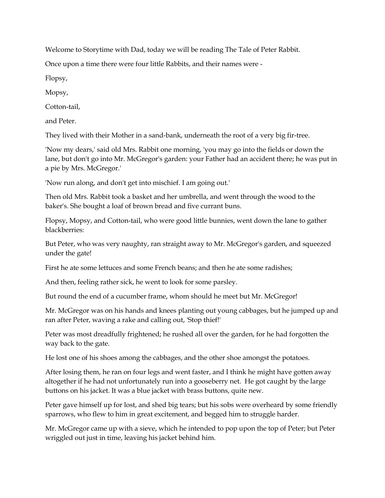Welcome to Storytime with Dad, today we will be reading The Tale of Peter Rabbit.

Once upon a time there were four little Rabbits, and their names were -

Flopsy,

Mopsy,

Cotton-tail,

and Peter.

They lived with their Mother in a sand-bank, underneath the root of a very big fir-tree.

'Now my dears,' said old Mrs. Rabbit one morning, 'you may go into the fields or down the lane, but don't go into Mr. McGregor's garden: your Father had an accident there; he was put in a pie by Mrs. McGregor.'

'Now run along, and don't get into mischief. I am going out.'

Then old Mrs. Rabbit took a basket and her umbrella, and went through the wood to the baker's. She bought a loaf of brown bread and five currant buns.

Flopsy, Mopsy, and Cotton-tail, who were good little bunnies, went down the lane to gather blackberries:

But Peter, who was very naughty, ran straight away to Mr. McGregor's garden, and squeezed under the gate!

First he ate some lettuces and some French beans; and then he ate some radishes;

And then, feeling rather sick, he went to look for some parsley.

But round the end of a cucumber frame, whom should he meet but Mr. McGregor!

Mr. McGregor was on his hands and knees planting out young cabbages, but he jumped up and ran after Peter, waving a rake and calling out, 'Stop thief!'

Peter was most dreadfully frightened; he rushed all over the garden, for he had forgotten the way back to the gate.

He lost one of his shoes among the cabbages, and the other shoe amongst the potatoes.

After losing them, he ran on four legs and went faster, and I think he might have gotten away altogether if he had not unfortunately run into a gooseberry net. He got caught by the large buttons on his jacket. It was a blue jacket with brass buttons, quite new.

Peter gave himself up for lost, and shed big tears; but his sobs were overheard by some friendly sparrows, who flew to him in great excitement, and begged him to struggle harder.

Mr. McGregor came up with a sieve, which he intended to pop upon the top of Peter; but Peter wriggled out just in time, leaving his jacket behind him.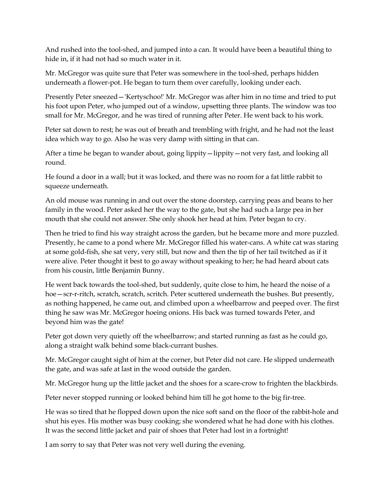And rushed into the tool-shed, and jumped into a can. It would have been a beautiful thing to hide in, if it had not had so much water in it.

Mr. McGregor was quite sure that Peter was somewhere in the tool-shed, perhaps hidden underneath a flower-pot. He began to turn them over carefully, looking under each.

Presently Peter sneezed—'Kertyschoo!' Mr. McGregor was after him in no time and tried to put his foot upon Peter, who jumped out of a window, upsetting three plants. The window was too small for Mr. McGregor, and he was tired of running after Peter. He went back to his work.

Peter sat down to rest; he was out of breath and trembling with fright, and he had not the least idea which way to go. Also he was very damp with sitting in that can.

After a time he began to wander about, going lippity—lippity—not very fast, and looking all round.

He found a door in a wall; but it was locked, and there was no room for a fat little rabbit to squeeze underneath.

An old mouse was running in and out over the stone doorstep, carrying peas and beans to her family in the wood. Peter asked her the way to the gate, but she had such a large pea in her mouth that she could not answer. She only shook her head at him. Peter began to cry.

Then he tried to find his way straight across the garden, but he became more and more puzzled. Presently, he came to a pond where Mr. McGregor filled his water-cans. A white cat was staring at some gold-fish, she sat very, very still, but now and then the tip of her tail twitched as if it were alive. Peter thought it best to go away without speaking to her; he had heard about cats from his cousin, little Benjamin Bunny.

He went back towards the tool-shed, but suddenly, quite close to him, he heard the noise of a hoe—scr-r-ritch, scratch, scratch, scritch. Peter scuttered underneath the bushes. But presently, as nothing happened, he came out, and climbed upon a wheelbarrow and peeped over. The first thing he saw was Mr. McGregor hoeing onions. His back was turned towards Peter, and beyond him was the gate!

Peter got down very quietly off the wheelbarrow; and started running as fast as he could go, along a straight walk behind some black-currant bushes.

Mr. McGregor caught sight of him at the corner, but Peter did not care. He slipped underneath the gate, and was safe at last in the wood outside the garden.

Mr. McGregor hung up the little jacket and the shoes for a scare-crow to frighten the blackbirds.

Peter never stopped running or looked behind him till he got home to the big fir-tree.

He was so tired that he flopped down upon the nice soft sand on the floor of the rabbit-hole and shut his eyes. His mother was busy cooking; she wondered what he had done with his clothes. It was the second little jacket and pair of shoes that Peter had lost in a fortnight!

I am sorry to say that Peter was not very well during the evening.